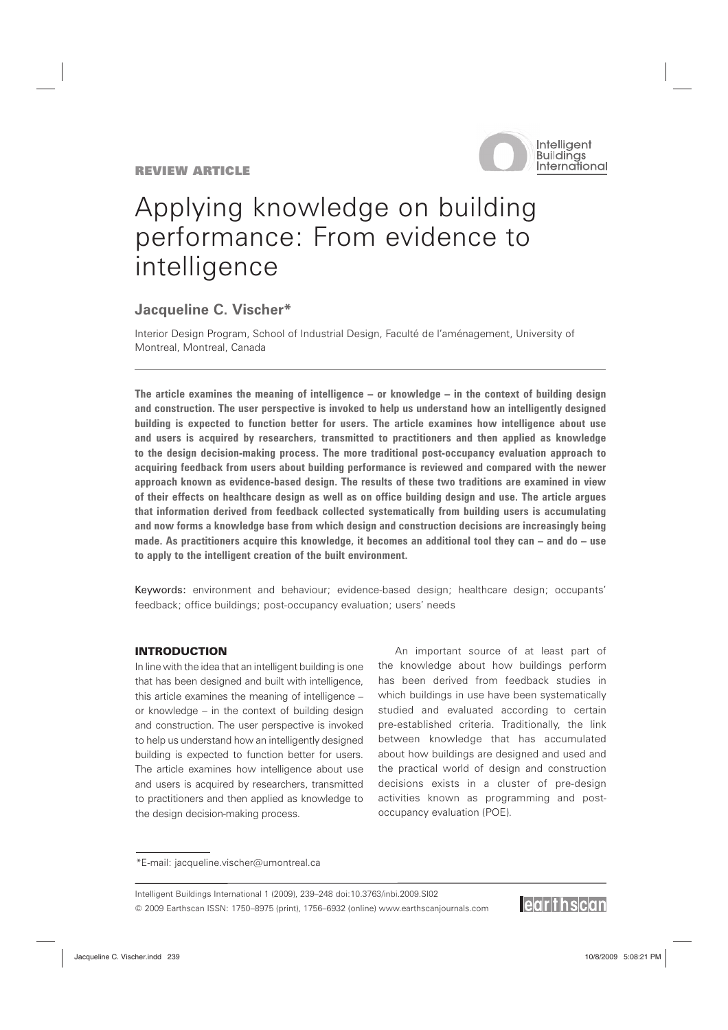# REVIEW ARTICLE



# Applying knowledge on building performance: From evidence to intelligence

# **Jacqueline C. Vischer\***

Interior Design Program, School of Industrial Design, Faculté de l'aménagement, University of Montreal, Montreal, Canada

**The article examines the meaning of intelligence – or knowledge – in the context of building design and construction. The user perspective is invoked to help us understand how an intelligently designed building is expected to function better for users. The article examines how intelligence about use and users is acquired by researchers, transmitted to practitioners and then applied as knowledge to the design decision-making process. The more traditional post-occupancy evaluation approach to acquiring feedback from users about building performance is reviewed and compared with the newer approach known as evidence-based design. The results of these two traditions are examined in view of their effects on healthcare design as well as on office building design and use. The article argues that information derived from feedback collected systematically from building users is accumulating and now forms a knowledge base from which design and construction decisions are increasingly being made. As practitioners acquire this knowledge, it becomes an additional tool they can – and do – use to apply to the intelligent creation of the built environment.**

Keywords: environment and behaviour; evidence-based design; healthcare design; occupants' feedback; office buildings; post-occupancy evaluation; users' needs

#### INTRODUCTION

In line with the idea that an intelligent building is one that has been designed and built with intelligence, this article examines the meaning of intelligence – or knowledge – in the context of building design and construction. The user perspective is invoked to help us understand how an intelligently designed building is expected to function better for users. The article examines how intelligence about use and users is acquired by researchers, transmitted to practitioners and then applied as knowledge to the design decision-making process.

An important source of at least part of the knowledge about how buildings perform has been derived from feedback studies in which buildings in use have been systematically studied and evaluated according to certain pre-established criteria. Traditionally, the link between knowledge that has accumulated about how buildings are designed and used and the practical world of design and construction decisions exists in a cluster of pre-design activities known as programming and postoccupancy evaluation (POE).

learthscan

<sup>\*</sup>E-mail: jacqueline.vischer@umontreal.ca

Intelligent Buildings International 1 (2009), 239–248 doi:10.3763/inbi.2009.SI02 © 2009 Earthscan ISSN: 1750–8975 (print), 1756–6932 (online) www.earthscanjournals.com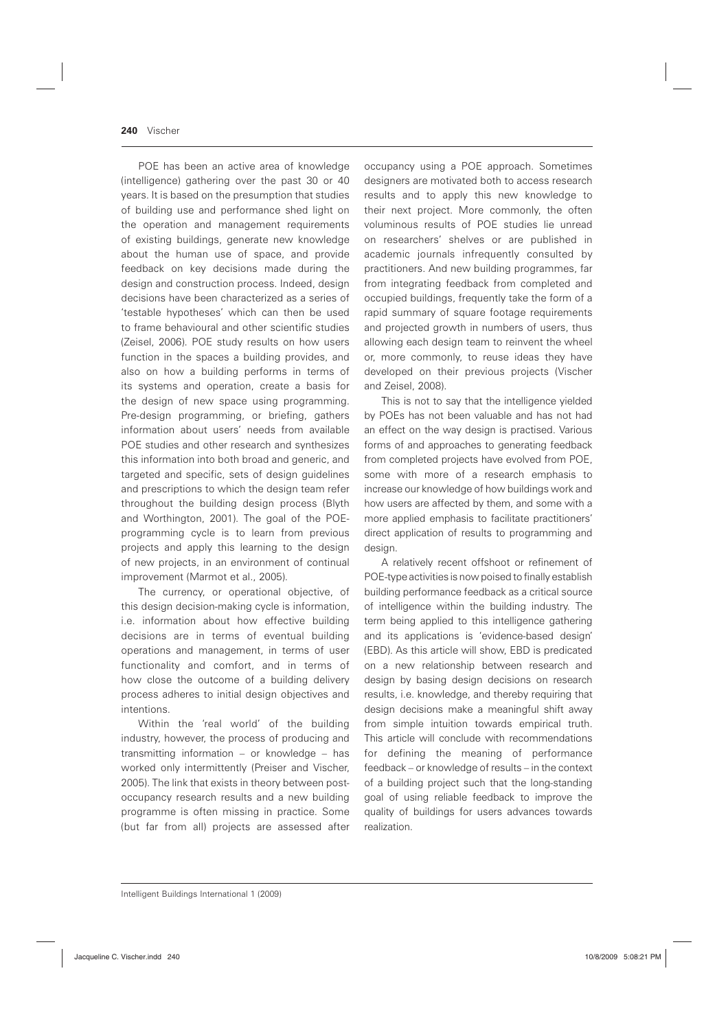POE has been an active area of knowledge (intelligence) gathering over the past 30 or 40 years. It is based on the presumption that studies of building use and performance shed light on the operation and management requirements of existing buildings, generate new knowledge about the human use of space, and provide feedback on key decisions made during the design and construction process. Indeed, design decisions have been characterized as a series of 'testable hypotheses' which can then be used to frame behavioural and other scientific studies (Zeisel, 2006). POE study results on how users function in the spaces a building provides, and also on how a building performs in terms of its systems and operation, create a basis for the design of new space using programming. Pre-design programming, or briefing, gathers information about users' needs from available POE studies and other research and synthesizes this information into both broad and generic, and targeted and specific, sets of design guidelines and prescriptions to which the design team refer throughout the building design process (Blyth and Worthington, 2001). The goal of the POEprogramming cycle is to learn from previous projects and apply this learning to the design of new projects, in an environment of continual improvement (Marmot et al., 2005).

The currency, or operational objective, of this design decision-making cycle is information, i.e. information about how effective building decisions are in terms of eventual building operations and management, in terms of user functionality and comfort, and in terms of how close the outcome of a building delivery process adheres to initial design objectives and intentions.

Within the 'real world' of the building industry, however, the process of producing and transmitting information – or knowledge – has worked only intermittently (Preiser and Vischer, 2005). The link that exists in theory between postoccupancy research results and a new building programme is often missing in practice. Some (but far from all) projects are assessed after

occupancy using a POE approach. Sometimes designers are motivated both to access research results and to apply this new knowledge to their next project. More commonly, the often voluminous results of POE studies lie unread on researchers' shelves or are published in academic journals infrequently consulted by practitioners. And new building programmes, far from integrating feedback from completed and occupied buildings, frequently take the form of a rapid summary of square footage requirements and projected growth in numbers of users, thus allowing each design team to reinvent the wheel or, more commonly, to reuse ideas they have developed on their previous projects (Vischer and Zeisel, 2008).

This is not to say that the intelligence yielded by POEs has not been valuable and has not had an effect on the way design is practised. Various forms of and approaches to generating feedback from completed projects have evolved from POE, some with more of a research emphasis to increase our knowledge of how buildings work and how users are affected by them, and some with a more applied emphasis to facilitate practitioners' direct application of results to programming and design.

A relatively recent offshoot or refinement of POE-type activities is now poised to finally establish building performance feedback as a critical source of intelligence within the building industry. The term being applied to this intelligence gathering and its applications is 'evidence-based design' (EBD). As this article will show, EBD is predicated on a new relationship between research and design by basing design decisions on research results, i.e. knowledge, and thereby requiring that design decisions make a meaningful shift away from simple intuition towards empirical truth. This article will conclude with recommendations for defining the meaning of performance feedback – or knowledge of results – in the context of a building project such that the long-standing goal of using reliable feedback to improve the quality of buildings for users advances towards realization.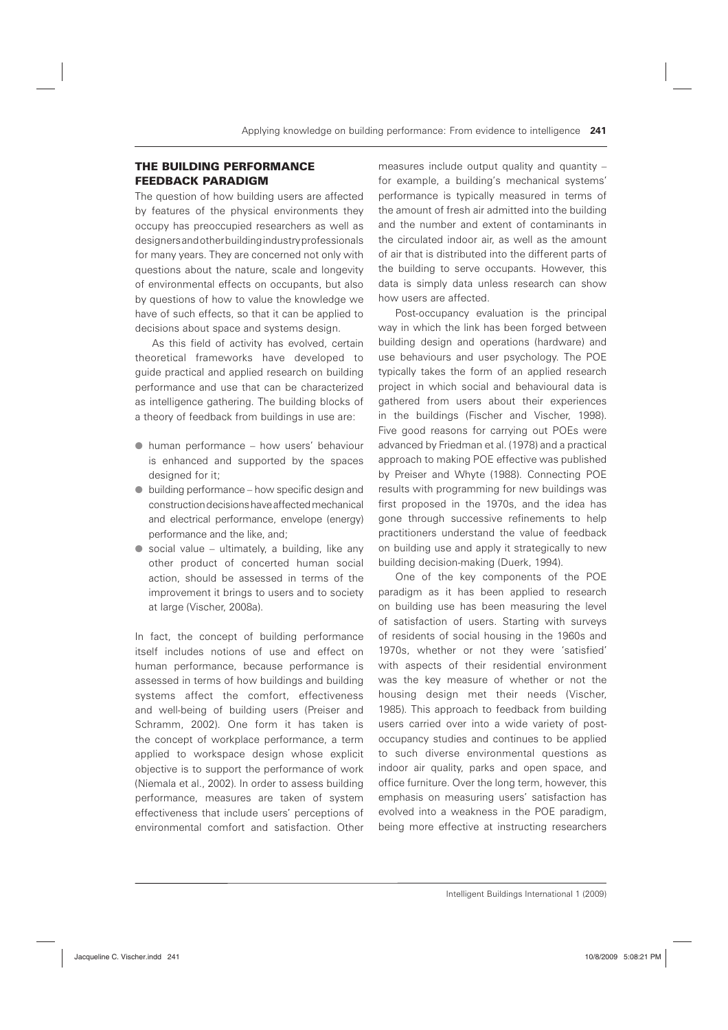## THE BUILDING PERFORMANCE FEEDBACK PARADIGM

The question of how building users are affected by features of the physical environments they occupy has preoccupied researchers as well as designers and other building industry professionals for many years. They are concerned not only with questions about the nature, scale and longevity of environmental effects on occupants, but also by questions of how to value the knowledge we have of such effects, so that it can be applied to decisions about space and systems design.

As this field of activity has evolved, certain theoretical frameworks have developed to guide practical and applied research on building performance and use that can be characterized as intelligence gathering. The building blocks of a theory of feedback from buildings in use are:

- human performance how users' behaviour is enhanced and supported by the spaces designed for it;
- building performance how specific design and construction decisions have affected mechanical and electrical performance, envelope (energy) performance and the like, and;
- $\bullet$  social value ultimately, a building, like any other product of concerted human social action, should be assessed in terms of the improvement it brings to users and to society at large (Vischer, 2008a).

In fact, the concept of building performance itself includes notions of use and effect on human performance, because performance is assessed in terms of how buildings and building systems affect the comfort, effectiveness and well-being of building users (Preiser and Schramm, 2002). One form it has taken is the concept of workplace performance, a term applied to workspace design whose explicit objective is to support the performance of work (Niemala et al., 2002). In order to assess building performance, measures are taken of system effectiveness that include users' perceptions of environmental comfort and satisfaction. Other measures include output quality and quantity – for example, a building's mechanical systems' performance is typically measured in terms of the amount of fresh air admitted into the building and the number and extent of contaminants in the circulated indoor air, as well as the amount of air that is distributed into the different parts of the building to serve occupants. However, this data is simply data unless research can show how users are affected.

Post-occupancy evaluation is the principal way in which the link has been forged between building design and operations (hardware) and use behaviours and user psychology. The POE typically takes the form of an applied research project in which social and behavioural data is gathered from users about their experiences in the buildings (Fischer and Vischer, 1998). Five good reasons for carrying out POEs were advanced by Friedman et al. (1978) and a practical approach to making POE effective was published by Preiser and Whyte (1988). Connecting POE results with programming for new buildings was first proposed in the 1970s, and the idea has gone through successive refinements to help practitioners understand the value of feedback on building use and apply it strategically to new building decision-making (Duerk, 1994).

One of the key components of the POE paradigm as it has been applied to research on building use has been measuring the level of satisfaction of users. Starting with surveys of residents of social housing in the 1960s and 1970s, whether or not they were 'satisfied' with aspects of their residential environment was the key measure of whether or not the housing design met their needs (Vischer, 1985). This approach to feedback from building users carried over into a wide variety of postoccupancy studies and continues to be applied to such diverse environmental questions as indoor air quality, parks and open space, and office furniture. Over the long term, however, this emphasis on measuring users' satisfaction has evolved into a weakness in the POE paradigm, being more effective at instructing researchers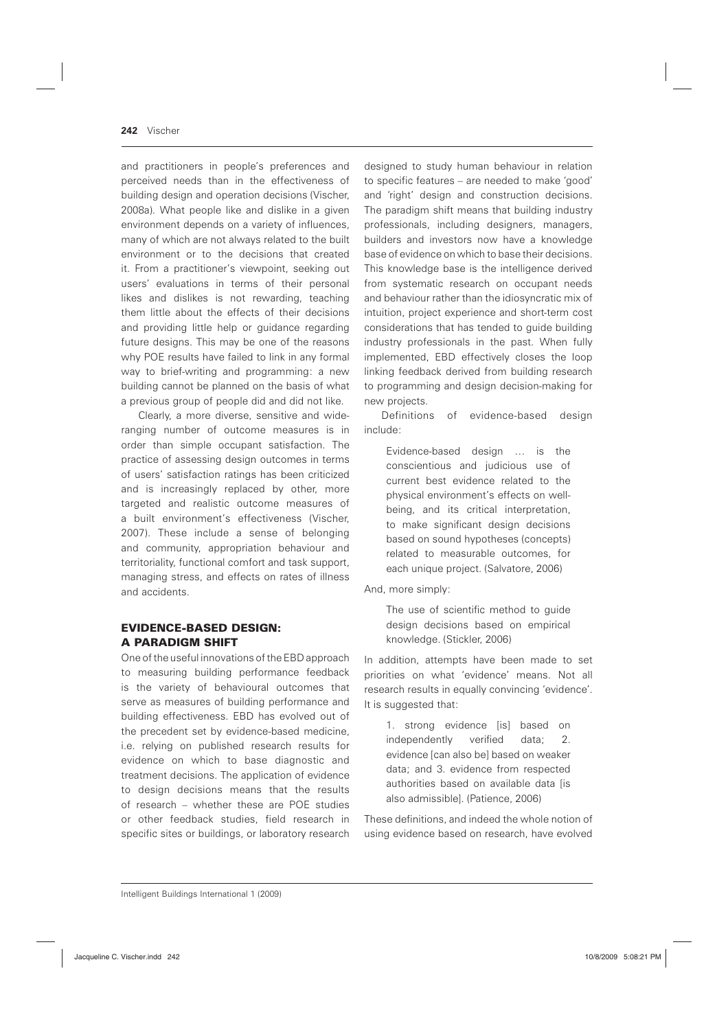and practitioners in people's preferences and perceived needs than in the effectiveness of building design and operation decisions (Vischer, 2008a). What people like and dislike in a given environment depends on a variety of influences, many of which are not always related to the built environment or to the decisions that created it. From a practitioner's viewpoint, seeking out users' evaluations in terms of their personal likes and dislikes is not rewarding, teaching them little about the effects of their decisions and providing little help or guidance regarding future designs. This may be one of the reasons why POE results have failed to link in any formal way to brief-writing and programming: a new building cannot be planned on the basis of what a previous group of people did and did not like.

Clearly, a more diverse, sensitive and wideranging number of outcome measures is in order than simple occupant satisfaction. The practice of assessing design outcomes in terms of users' satisfaction ratings has been criticized and is increasingly replaced by other, more targeted and realistic outcome measures of a built environment's effectiveness (Vischer, 2007). These include a sense of belonging and community, appropriation behaviour and territoriality, functional comfort and task support, managing stress, and effects on rates of illness and accidents.

#### EVIDENCE-BASED DESIGN: A PARADIGM SHIFT

One of the useful innovations of the EBD approach to measuring building performance feedback is the variety of behavioural outcomes that serve as measures of building performance and building effectiveness. EBD has evolved out of the precedent set by evidence-based medicine, i.e. relying on published research results for evidence on which to base diagnostic and treatment decisions. The application of evidence to design decisions means that the results of research – whether these are POE studies or other feedback studies, field research in specific sites or buildings, or laboratory research

designed to study human behaviour in relation to specific features – are needed to make 'good' and 'right' design and construction decisions. The paradigm shift means that building industry professionals, including designers, managers, builders and investors now have a knowledge base of evidence on which to base their decisions. This knowledge base is the intelligence derived from systematic research on occupant needs and behaviour rather than the idiosyncratic mix of intuition, project experience and short-term cost considerations that has tended to guide building industry professionals in the past. When fully implemented, EBD effectively closes the loop linking feedback derived from building research to programming and design decision-making for new projects.

Definitions of evidence-based design include:

Evidence-based design … is the conscientious and judicious use of current best evidence related to the physical environment's effects on wellbeing, and its critical interpretation, to make significant design decisions based on sound hypotheses (concepts) related to measurable outcomes, for each unique project. (Salvatore, 2006)

And, more simply:

The use of scientific method to guide design decisions based on empirical knowledge. (Stickler, 2006)

In addition, attempts have been made to set priorities on what 'evidence' means. Not all research results in equally convincing 'evidence'. It is suggested that:

1. strong evidence [is] based on independently verified data; 2. evidence [can also be] based on weaker data; and 3. evidence from respected authorities based on available data [is also admissible]. (Patience, 2006)

These definitions, and indeed the whole notion of using evidence based on research, have evolved

Intelligent Buildings International 1 (2009)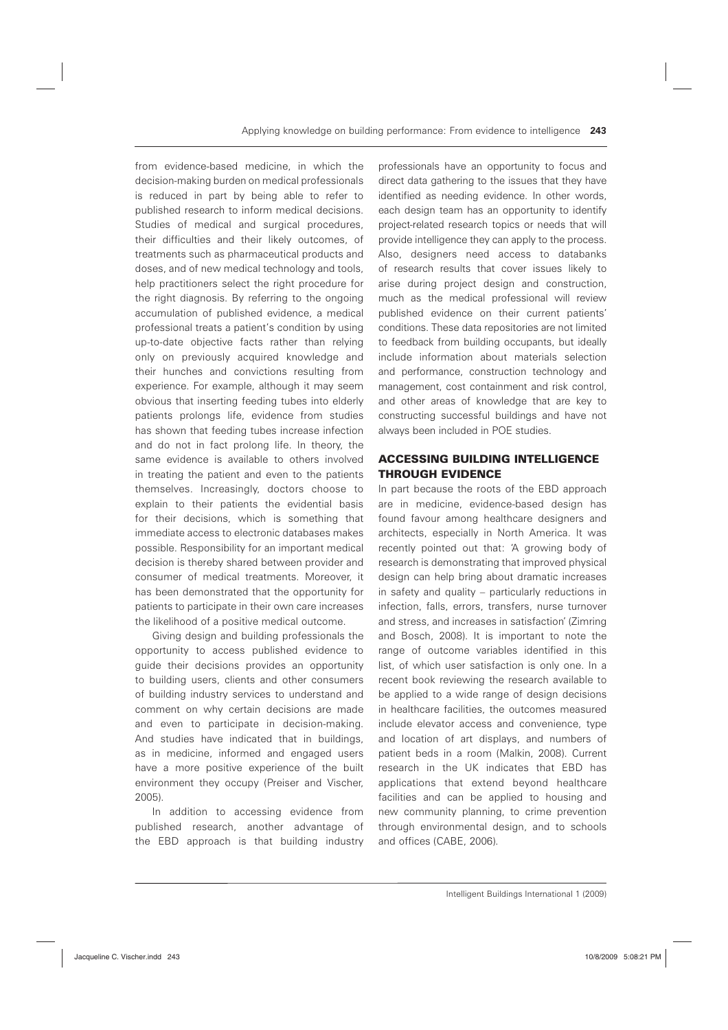from evidence-based medicine, in which the decision-making burden on medical professionals is reduced in part by being able to refer to published research to inform medical decisions. Studies of medical and surgical procedures, their difficulties and their likely outcomes, of treatments such as pharmaceutical products and doses, and of new medical technology and tools, help practitioners select the right procedure for the right diagnosis. By referring to the ongoing accumulation of published evidence, a medical professional treats a patient's condition by using up-to-date objective facts rather than relying only on previously acquired knowledge and their hunches and convictions resulting from experience. For example, although it may seem obvious that inserting feeding tubes into elderly patients prolongs life, evidence from studies has shown that feeding tubes increase infection and do not in fact prolong life. In theory, the same evidence is available to others involved in treating the patient and even to the patients themselves. Increasingly, doctors choose to explain to their patients the evidential basis for their decisions, which is something that immediate access to electronic databases makes possible. Responsibility for an important medical decision is thereby shared between provider and consumer of medical treatments. Moreover, it has been demonstrated that the opportunity for patients to participate in their own care increases the likelihood of a positive medical outcome.

Giving design and building professionals the opportunity to access published evidence to guide their decisions provides an opportunity to building users, clients and other consumers of building industry services to understand and comment on why certain decisions are made and even to participate in decision-making. And studies have indicated that in buildings, as in medicine, informed and engaged users have a more positive experience of the built environment they occupy (Preiser and Vischer, 2005).

In addition to accessing evidence from published research, another advantage of the EBD approach is that building industry professionals have an opportunity to focus and direct data gathering to the issues that they have identified as needing evidence. In other words, each design team has an opportunity to identify project-related research topics or needs that will provide intelligence they can apply to the process. Also, designers need access to databanks of research results that cover issues likely to arise during project design and construction, much as the medical professional will review published evidence on their current patients' conditions. These data repositories are not limited to feedback from building occupants, but ideally include information about materials selection and performance, construction technology and management, cost containment and risk control, and other areas of knowledge that are key to constructing successful buildings and have not always been included in POE studies.

## ACCESSING BUILDING INTELLIGENCE THROUGH EVIDENCE

In part because the roots of the EBD approach are in medicine, evidence-based design has found favour among healthcare designers and architects, especially in North America. It was recently pointed out that: 'A growing body of research is demonstrating that improved physical design can help bring about dramatic increases in safety and quality – particularly reductions in infection, falls, errors, transfers, nurse turnover and stress, and increases in satisfaction' (Zimring and Bosch, 2008). It is important to note the range of outcome variables identified in this list, of which user satisfaction is only one. In a recent book reviewing the research available to be applied to a wide range of design decisions in healthcare facilities, the outcomes measured include elevator access and convenience, type and location of art displays, and numbers of patient beds in a room (Malkin, 2008). Current research in the UK indicates that EBD has applications that extend beyond healthcare facilities and can be applied to housing and new community planning, to crime prevention through environmental design, and to schools and offices (CABE, 2006).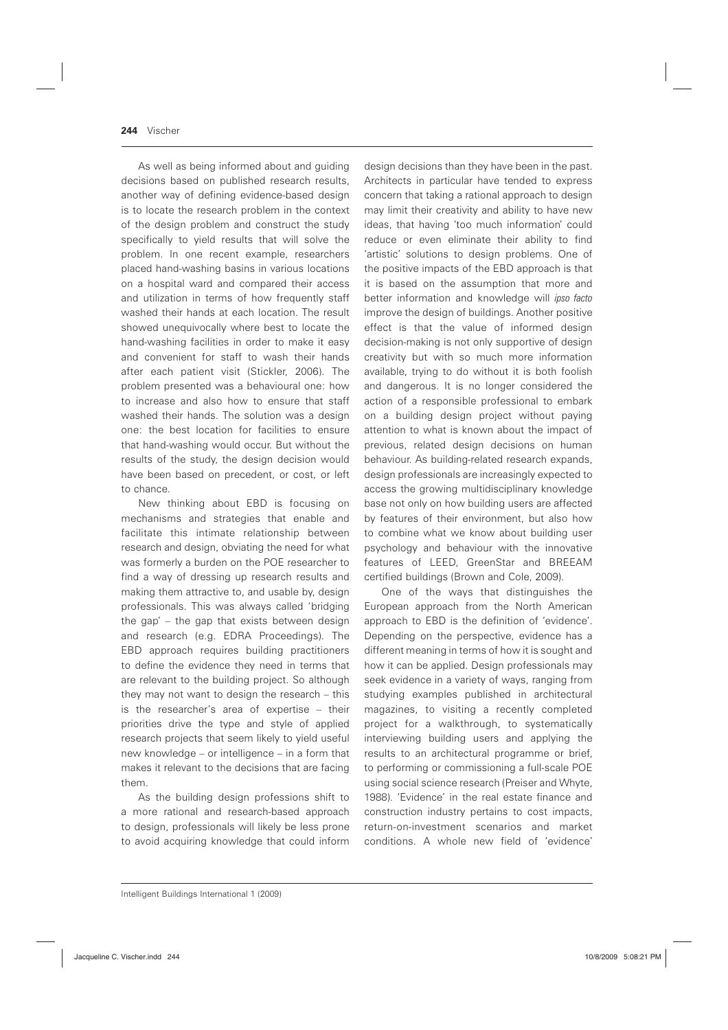As well as being informed about and guiding decisions based on published research results, another way of defining evidence-based design is to locate the research problem in the context of the design problem and construct the study specifically to yield results that will solve the problem. In one recent example, researchers placed hand-washing basins in various locations on a hospital ward and compared their access and utilization in terms of how frequently staff washed their hands at each location. The result showed unequivocally where best to locate the hand-washing facilities in order to make it easy and convenient for staff to wash their hands after each patient visit (Stickler, 2006). The problem presented was a behavioural one: how to increase and also how to ensure that staff washed their hands. The solution was a design one: the best location for facilities to ensure that hand-washing would occur. But without the results of the study, the design decision would have been based on precedent, or cost, or left to chance.

New thinking about EBD is focusing on mechanisms and strategies that enable and facilitate this intimate relationship between research and design, obviating the need for what was formerly a burden on the POE researcher to find a way of dressing up research results and making them attractive to, and usable by, design professionals. This was always called 'bridging the gap' – the gap that exists between design and research (e.g. EDRA Proceedings). The EBD approach requires building practitioners to define the evidence they need in terms that are relevant to the building project. So although they may not want to design the research – this is the researcher's area of expertise – their priorities drive the type and style of applied research projects that seem likely to yield useful new knowledge – or intelligence – in a form that makes it relevant to the decisions that are facing them.

As the building design professions shift to a more rational and research-based approach to design, professionals will likely be less prone to avoid acquiring knowledge that could inform

design decisions than they have been in the past. Architects in particular have tended to express concern that taking a rational approach to design may limit their creativity and ability to have new ideas, that having 'too much information' could reduce or even eliminate their ability to find 'artistic' solutions to design problems. One of the positive impacts of the EBD approach is that it is based on the assumption that more and better information and knowledge will *ipso facto* improve the design of buildings. Another positive effect is that the value of informed design decision-making is not only supportive of design creativity but with so much more information available, trying to do without it is both foolish and dangerous. It is no longer considered the action of a responsible professional to embark on a building design project without paying attention to what is known about the impact of previous, related design decisions on human behaviour. As building-related research expands, design professionals are increasingly expected to access the growing multidisciplinary knowledge base not only on how building users are affected by features of their environment, but also how to combine what we know about building user psychology and behaviour with the innovative features of LEED, GreenStar and BREEAM certified buildings (Brown and Cole, 2009).

One of the ways that distinguishes the European approach from the North American approach to EBD is the definition of 'evidence'. Depending on the perspective, evidence has a different meaning in terms of how it is sought and how it can be applied. Design professionals may seek evidence in a variety of ways, ranging from studying examples published in architectural magazines, to visiting a recently completed project for a walkthrough, to systematically interviewing building users and applying the results to an architectural programme or brief, to performing or commissioning a full-scale POE using social science research (Preiser and Whyte, 1988). 'Evidence' in the real estate finance and construction industry pertains to cost impacts, return-on-investment scenarios and market conditions. A whole new field of 'evidence'

Intelligent Buildings International 1 (2009)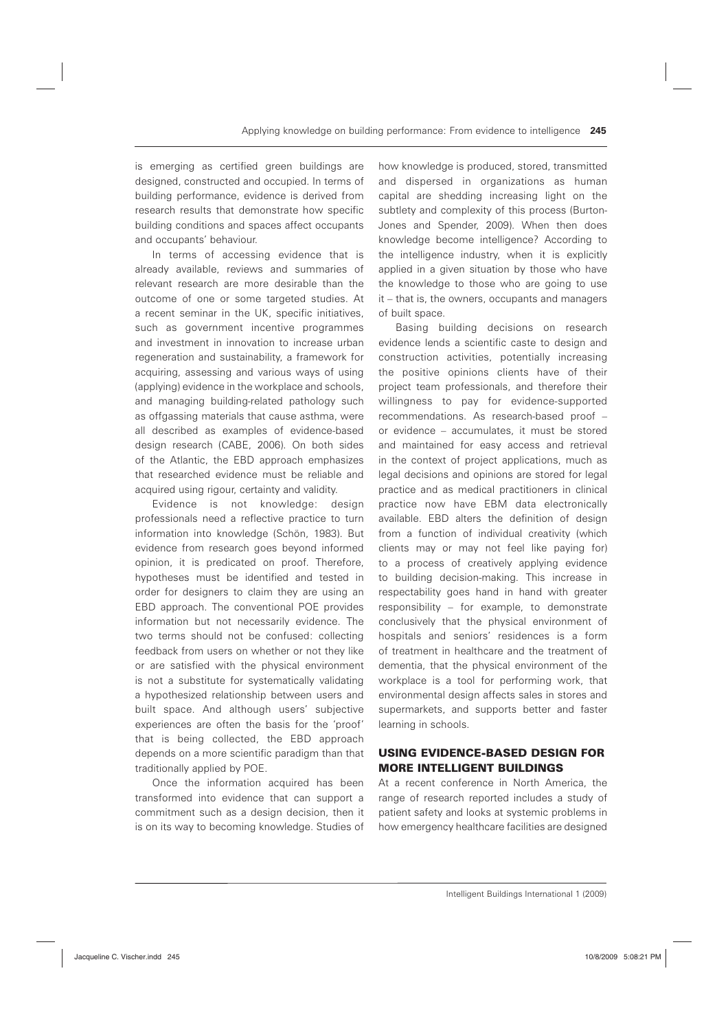is emerging as certified green buildings are designed, constructed and occupied. In terms of building performance, evidence is derived from research results that demonstrate how specific building conditions and spaces affect occupants and occupants' behaviour.

In terms of accessing evidence that is already available, reviews and summaries of relevant research are more desirable than the outcome of one or some targeted studies. At a recent seminar in the UK, specific initiatives, such as government incentive programmes and investment in innovation to increase urban regeneration and sustainability, a framework for acquiring, assessing and various ways of using (applying) evidence in the workplace and schools, and managing building-related pathology such as offgassing materials that cause asthma, were all described as examples of evidence-based design research (CABE, 2006). On both sides of the Atlantic, the EBD approach emphasizes that researched evidence must be reliable and acquired using rigour, certainty and validity.

Evidence is not knowledge: design professionals need a reflective practice to turn information into knowledge (Schön, 1983). But evidence from research goes beyond informed opinion, it is predicated on proof. Therefore, hypotheses must be identified and tested in order for designers to claim they are using an EBD approach. The conventional POE provides information but not necessarily evidence. The two terms should not be confused: collecting feedback from users on whether or not they like or are satisfied with the physical environment is not a substitute for systematically validating a hypothesized relationship between users and built space. And although users' subjective experiences are often the basis for the 'proof' that is being collected, the EBD approach depends on a more scientific paradigm than that traditionally applied by POE.

Once the information acquired has been transformed into evidence that can support a commitment such as a design decision, then it is on its way to becoming knowledge. Studies of how knowledge is produced, stored, transmitted and dispersed in organizations as human capital are shedding increasing light on the subtlety and complexity of this process (Burton-Jones and Spender, 2009). When then does knowledge become intelligence? According to the intelligence industry, when it is explicitly applied in a given situation by those who have the knowledge to those who are going to use it – that is, the owners, occupants and managers of built space.

Basing building decisions on research evidence lends a scientific caste to design and construction activities, potentially increasing the positive opinions clients have of their project team professionals, and therefore their willingness to pay for evidence-supported recommendations. As research-based proof – or evidence – accumulates, it must be stored and maintained for easy access and retrieval in the context of project applications, much as legal decisions and opinions are stored for legal practice and as medical practitioners in clinical practice now have EBM data electronically available. EBD alters the definition of design from a function of individual creativity (which clients may or may not feel like paying for) to a process of creatively applying evidence to building decision-making. This increase in respectability goes hand in hand with greater responsibility – for example, to demonstrate conclusively that the physical environment of hospitals and seniors' residences is a form of treatment in healthcare and the treatment of dementia, that the physical environment of the workplace is a tool for performing work, that environmental design affects sales in stores and supermarkets, and supports better and faster learning in schools.

## USING EVIDENCE-BASED DESIGN FOR MORE INTELLIGENT BUILDINGS

At a recent conference in North America, the range of research reported includes a study of patient safety and looks at systemic problems in how emergency healthcare facilities are designed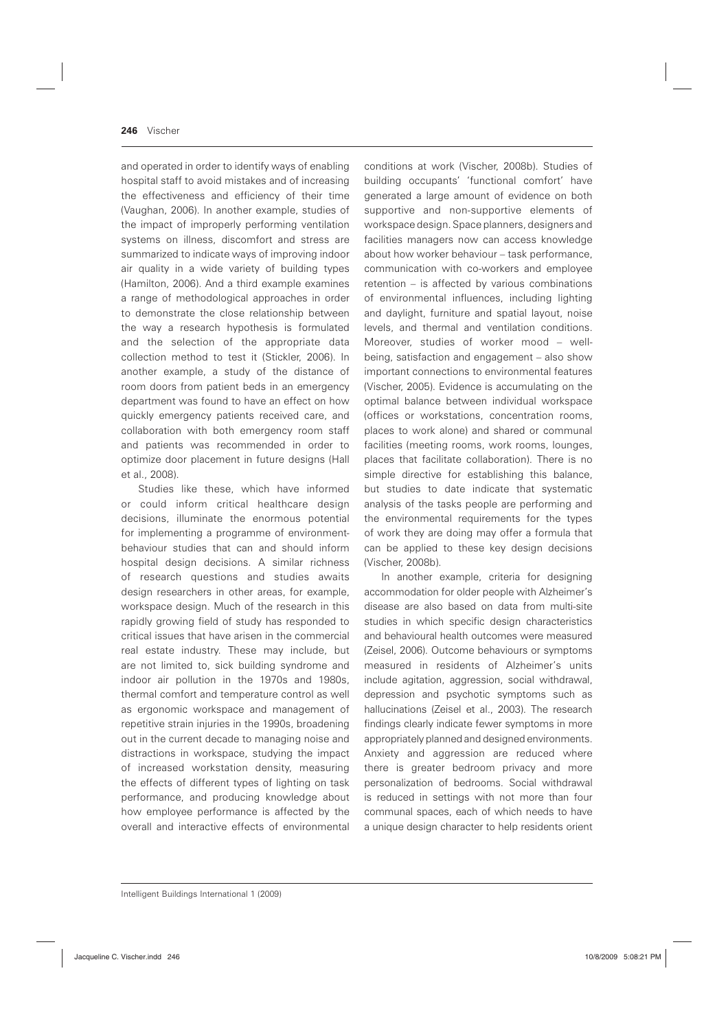and operated in order to identify ways of enabling hospital staff to avoid mistakes and of increasing the effectiveness and efficiency of their time (Vaughan, 2006). In another example, studies of the impact of improperly performing ventilation systems on illness, discomfort and stress are summarized to indicate ways of improving indoor air quality in a wide variety of building types (Hamilton, 2006). And a third example examines a range of methodological approaches in order to demonstrate the close relationship between the way a research hypothesis is formulated and the selection of the appropriate data collection method to test it (Stickler, 2006). In another example, a study of the distance of room doors from patient beds in an emergency department was found to have an effect on how quickly emergency patients received care, and collaboration with both emergency room staff and patients was recommended in order to optimize door placement in future designs (Hall et al., 2008).

Studies like these, which have informed or could inform critical healthcare design decisions, illuminate the enormous potential for implementing a programme of environmentbehaviour studies that can and should inform hospital design decisions. A similar richness of research questions and studies awaits design researchers in other areas, for example, workspace design. Much of the research in this rapidly growing field of study has responded to critical issues that have arisen in the commercial real estate industry. These may include, but are not limited to, sick building syndrome and indoor air pollution in the 1970s and 1980s, thermal comfort and temperature control as well as ergonomic workspace and management of repetitive strain injuries in the 1990s, broadening out in the current decade to managing noise and distractions in workspace, studying the impact of increased workstation density, measuring the effects of different types of lighting on task performance, and producing knowledge about how employee performance is affected by the overall and interactive effects of environmental

conditions at work (Vischer, 2008b). Studies of building occupants' 'functional comfort' have generated a large amount of evidence on both supportive and non-supportive elements of workspace design. Space planners, designers and facilities managers now can access knowledge about how worker behaviour – task performance, communication with co-workers and employee retention – is affected by various combinations of environmental influences, including lighting and daylight, furniture and spatial layout, noise levels, and thermal and ventilation conditions. Moreover, studies of worker mood – wellbeing, satisfaction and engagement – also show important connections to environmental features (Vischer, 2005). Evidence is accumulating on the optimal balance between individual workspace (offices or workstations, concentration rooms, places to work alone) and shared or communal facilities (meeting rooms, work rooms, lounges, places that facilitate collaboration). There is no simple directive for establishing this balance, but studies to date indicate that systematic analysis of the tasks people are performing and the environmental requirements for the types of work they are doing may offer a formula that can be applied to these key design decisions (Vischer, 2008b).

In another example, criteria for designing accommodation for older people with Alzheimer's disease are also based on data from multi-site studies in which specific design characteristics and behavioural health outcomes were measured (Zeisel, 2006). Outcome behaviours or symptoms measured in residents of Alzheimer's units include agitation, aggression, social withdrawal, depression and psychotic symptoms such as hallucinations (Zeisel et al., 2003). The research findings clearly indicate fewer symptoms in more appropriately planned and designed environments. Anxiety and aggression are reduced where there is greater bedroom privacy and more personalization of bedrooms. Social withdrawal is reduced in settings with not more than four communal spaces, each of which needs to have a unique design character to help residents orient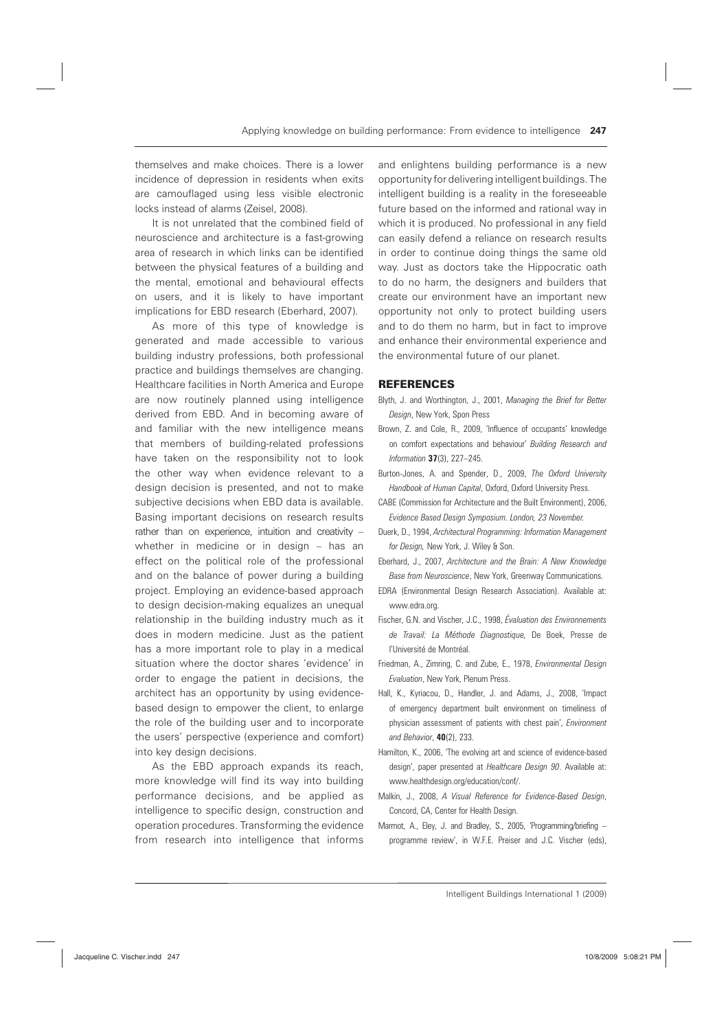themselves and make choices. There is a lower incidence of depression in residents when exits are camouflaged using less visible electronic locks instead of alarms (Zeisel, 2008).

It is not unrelated that the combined field of neuroscience and architecture is a fast-growing area of research in which links can be identified between the physical features of a building and the mental, emotional and behavioural effects on users, and it is likely to have important implications for EBD research (Eberhard, 2007).

As more of this type of knowledge is generated and made accessible to various building industry professions, both professional practice and buildings themselves are changing. Healthcare facilities in North America and Europe are now routinely planned using intelligence derived from EBD. And in becoming aware of and familiar with the new intelligence means that members of building-related professions have taken on the responsibility not to look the other way when evidence relevant to a design decision is presented, and not to make subjective decisions when EBD data is available. Basing important decisions on research results rather than on experience, intuition and creativity – whether in medicine or in design – has an effect on the political role of the professional and on the balance of power during a building project. Employing an evidence-based approach to design decision-making equalizes an unequal relationship in the building industry much as it does in modern medicine. Just as the patient has a more important role to play in a medical situation where the doctor shares 'evidence' in order to engage the patient in decisions, the architect has an opportunity by using evidencebased design to empower the client, to enlarge the role of the building user and to incorporate the users' perspective (experience and comfort) into key design decisions.

As the EBD approach expands its reach, more knowledge will find its way into building performance decisions, and be applied as intelligence to specific design, construction and operation procedures. Transforming the evidence from research into intelligence that informs

and enlightens building performance is a new opportunity for delivering intelligent buildings. The intelligent building is a reality in the foreseeable future based on the informed and rational way in which it is produced. No professional in any field can easily defend a reliance on research results in order to continue doing things the same old way. Just as doctors take the Hippocratic oath to do no harm, the designers and builders that create our environment have an important new opportunity not only to protect building users and to do them no harm, but in fact to improve and enhance their environmental experience and the environmental future of our planet.

#### REFERENCES

- Blyth, J. and Worthington, J., 2001, *Managing the Brief for Better Design*, New York, Spon Press
- Brown, Z. and Cole, R., 2009, 'Influence of occupants' knowledge on comfort expectations and behaviour' *Building Research and Information* **37**(3), 227–245.
- Burton-Jones, A. and Spender, D., 2009, *The Oxford University Handbook of Human Capital*, Oxford, Oxford University Press.
- CABE (Commission for Architecture and the Built Environment), 2006, *Evidence Based Design Symposium*. *London, 23 November.*
- Duerk, D., 1994, *Architectural Programming: Information Management for Design,* New York, J. Wiley & Son.
- Eberhard, J., 2007, *Architecture and the Brain: A New Knowledge Base from Neuroscience*, New York, Greenway Communications.
- EDRA (Environmental Design Research Association). Available at: www.edra.org.
- Fischer, G.N. and Vischer, J.C., 1998, *Évaluation des Environnements de Travail: La Méthode Diagnostique,* De Boek, Presse de l'Université de Montréal.
- Friedman, A., Zimring, C. and Zube, E., 1978, *Environmental Design Evaluation*, New York, Plenum Press.
- Hall, K., Kyriacou, D., Handler, J. and Adams, J., 2008, 'Impact of emergency department built environment on timeliness of physician assessment of patients with chest pain', *Environment and Behavior*, **40**(2), 233.
- Hamilton, K., 2006, 'The evolving art and science of evidence-based design', paper presented at *Healthcare Design 90*. Available at: www.healthdesign.org/education/conf/.
- Malkin, J., 2008, *A Visual Reference for Evidence-Based Design*, Concord, CA, Center for Health Design.
- Marmot, A., Eley, J. and Bradley, S., 2005, 'Programming/briefing programme review', in W.F.E. Preiser and J.C. Vischer (eds),

Intelligent Buildings International 1 (2009)